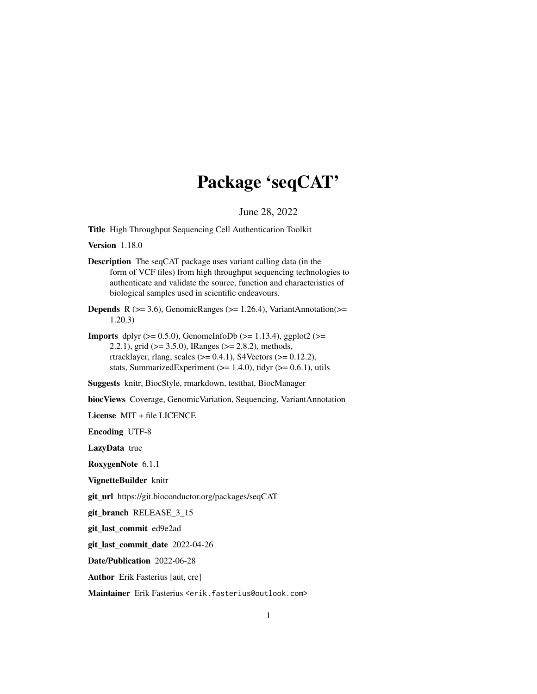# Package 'seqCAT'

#### June 28, 2022

Title High Throughput Sequencing Cell Authentication Toolkit

Version 1.18.0

- Description The seqCAT package uses variant calling data (in the form of VCF files) from high throughput sequencing technologies to authenticate and validate the source, function and characteristics of biological samples used in scientific endeavours.
- **Depends** R ( $>= 3.6$ ), GenomicRanges ( $>= 1.26.4$ ), VariantAnnotation( $>=$ 1.20.3)
- **Imports** dplyr  $(>= 0.5.0)$ , GenomeInfoDb  $(>= 1.13.4)$ , ggplot2  $(>= 1.13.4)$ 2.2.1), grid ( $>= 3.5.0$ ), IRanges ( $>= 2.8.2$ ), methods, rtracklayer, rlang, scales ( $> = 0.4.1$ ), S4Vectors ( $> = 0.12.2$ ), stats, SummarizedExperiment  $(>= 1.4.0)$ , tidyr  $(>= 0.6.1)$ , utils

Suggests knitr, BiocStyle, rmarkdown, testthat, BiocManager

biocViews Coverage, GenomicVariation, Sequencing, VariantAnnotation

License MIT + file LICENCE

Encoding UTF-8

LazyData true

RoxygenNote 6.1.1

VignetteBuilder knitr

git\_url https://git.bioconductor.org/packages/seqCAT

git\_branch RELEASE\_3\_15

git\_last\_commit ed9e2ad

git\_last\_commit\_date 2022-04-26

Date/Publication 2022-06-28

Author Erik Fasterius [aut, cre]

Maintainer Erik Fasterius <erik.fasterius@outlook.com>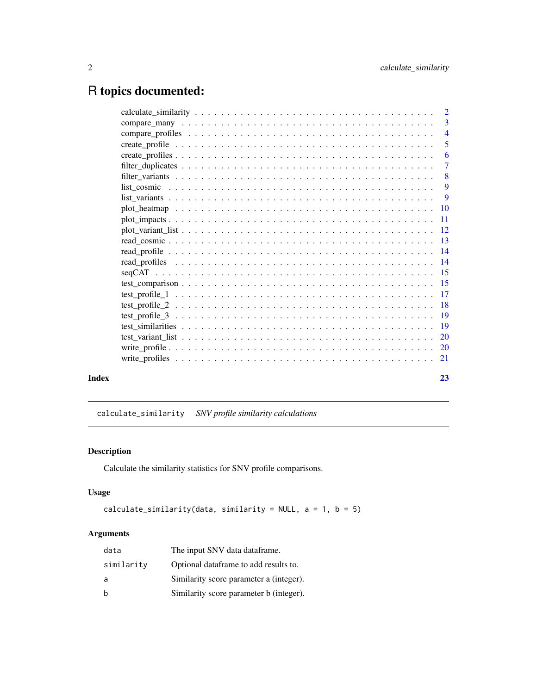## <span id="page-1-0"></span>R topics documented:

| $\overline{3}$ |
|----------------|
| $\overline{4}$ |
| 5              |
| -6             |
| $\overline{7}$ |
| -8             |
| 9              |
| -9             |
|                |
|                |
|                |
|                |
|                |
|                |
|                |
|                |
|                |
|                |
|                |
|                |
|                |
|                |
|                |
| 23             |
|                |

calculate\_similarity *SNV profile similarity calculations*

#### Description

Calculate the similarity statistics for SNV profile comparisons.

#### Usage

```
calculate_similarity(data, similarity = NULL, a = 1, b = 5)
```
#### Arguments

| data       | The input SNV data data frame.          |
|------------|-----------------------------------------|
| similarity | Optional dataframe to add results to.   |
| a          | Similarity score parameter a (integer). |
| b          | Similarity score parameter b (integer). |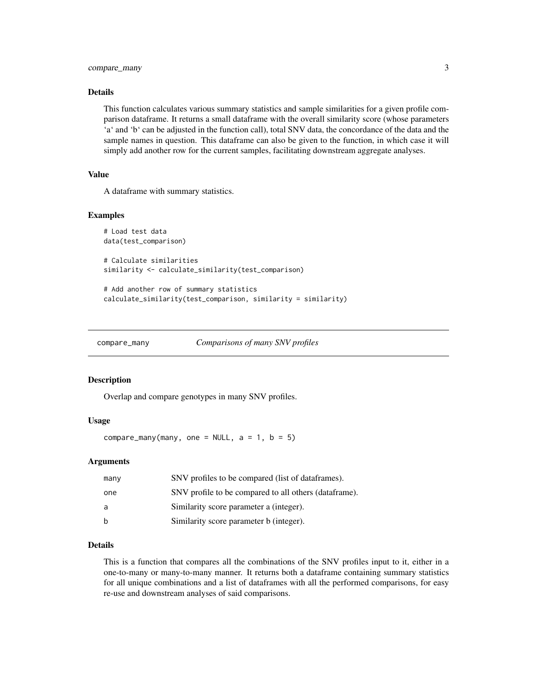#### <span id="page-2-0"></span>Details

This function calculates various summary statistics and sample similarities for a given profile comparison dataframe. It returns a small dataframe with the overall similarity score (whose parameters 'a' and 'b' can be adjusted in the function call), total SNV data, the concordance of the data and the sample names in question. This dataframe can also be given to the function, in which case it will simply add another row for the current samples, facilitating downstream aggregate analyses.

#### Value

A dataframe with summary statistics.

#### Examples

```
# Load test data
data(test_comparison)
# Calculate similarities
similarity <- calculate_similarity(test_comparison)
```

```
# Add another row of summary statistics
calculate_similarity(test_comparison, similarity = similarity)
```
compare\_many *Comparisons of many SNV profiles*

#### **Description**

Overlap and compare genotypes in many SNV profiles.

#### Usage

compare\_many(many, one = NULL,  $a = 1$ ,  $b = 5$ )

#### Arguments

| many | SNV profiles to be compared (list of data frames).     |
|------|--------------------------------------------------------|
| one  | SNV profile to be compared to all others (data frame). |
| a    | Similarity score parameter a (integer).                |
| h    | Similarity score parameter b (integer).                |

#### Details

This is a function that compares all the combinations of the SNV profiles input to it, either in a one-to-many or many-to-many manner. It returns both a dataframe containing summary statistics for all unique combinations and a list of dataframes with all the performed comparisons, for easy re-use and downstream analyses of said comparisons.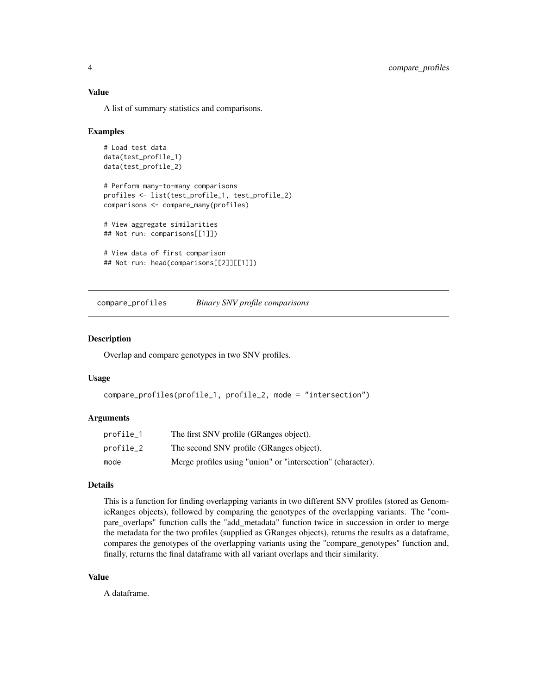#### <span id="page-3-0"></span>Value

A list of summary statistics and comparisons.

#### Examples

```
# Load test data
data(test_profile_1)
data(test_profile_2)
# Perform many-to-many comparisons
profiles <- list(test_profile_1, test_profile_2)
comparisons <- compare_many(profiles)
# View aggregate similarities
## Not run: comparisons[[1]])
# View data of first comparison
## Not run: head(comparisons[[2]][[1]])
```
compare\_profiles *Binary SNV profile comparisons*

#### **Description**

Overlap and compare genotypes in two SNV profiles.

#### Usage

```
compare_profiles(profile_1, profile_2, mode = "intersection")
```
#### Arguments

| profile_1 | The first SNV profile (GRanges object).                     |
|-----------|-------------------------------------------------------------|
| profile_2 | The second SNV profile (GRanges object).                    |
| mode      | Merge profiles using "union" or "intersection" (character). |

#### Details

This is a function for finding overlapping variants in two different SNV profiles (stored as GenomicRanges objects), followed by comparing the genotypes of the overlapping variants. The "compare overlaps" function calls the "add metadata" function twice in succession in order to merge the metadata for the two profiles (supplied as GRanges objects), returns the results as a dataframe, compares the genotypes of the overlapping variants using the "compare\_genotypes" function and, finally, returns the final dataframe with all variant overlaps and their similarity.

#### Value

A dataframe.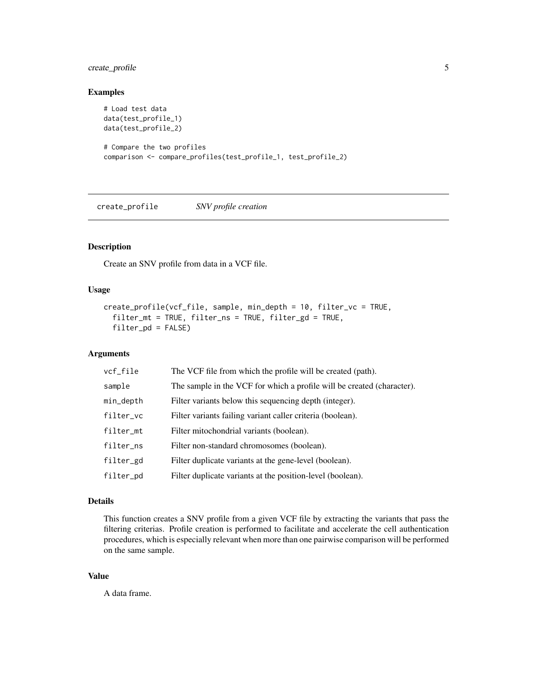#### <span id="page-4-0"></span>create\_profile 5

#### Examples

```
# Load test data
data(test_profile_1)
data(test_profile_2)
# Compare the two profiles
comparison <- compare_profiles(test_profile_1, test_profile_2)
```
create\_profile *SNV profile creation*

#### Description

Create an SNV profile from data in a VCF file.

#### Usage

```
create_profile(vcf_file, sample, min_depth = 10, filter_vc = TRUE,
  filter_mt = TRUE, filter_ns = TRUE, filter_gd = TRUE,
  filter_pd = FALSE)
```
#### Arguments

| vcf_file     | The VCF file from which the profile will be created (path).            |
|--------------|------------------------------------------------------------------------|
| sample       | The sample in the VCF for which a profile will be created (character). |
| $min\_depth$ | Filter variants below this sequencing depth (integer).                 |
| filter_vc    | Filter variants failing variant caller criteria (boolean).             |
| filter_mt    | Filter mitochondrial variants (boolean).                               |
| filter_ns    | Filter non-standard chromosomes (boolean).                             |
| filter_gd    | Filter duplicate variants at the gene-level (boolean).                 |
| filter_pd    | Filter duplicate variants at the position-level (boolean).             |

#### Details

This function creates a SNV profile from a given VCF file by extracting the variants that pass the filtering criterias. Profile creation is performed to facilitate and accelerate the cell authentication procedures, which is especially relevant when more than one pairwise comparison will be performed on the same sample.

#### Value

A data frame.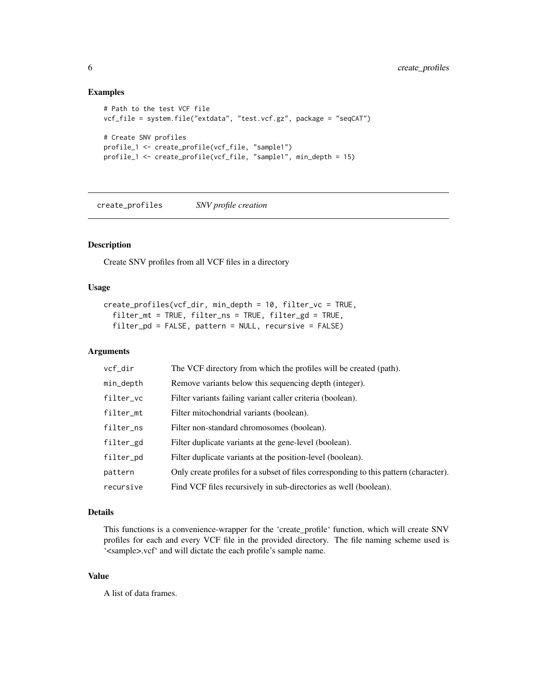#### Examples

```
# Path to the test VCF file
vcf_file = system.file("extdata", "test.vcf.gz", package = "seqCAT")
# Create SNV profiles
profile_1 <- create_profile(vcf_file, "sample1")
profile_1 <- create_profile(vcf_file, "sample1", min_depth = 15)
```
create\_profiles *SNV profile creation*

#### Description

Create SNV profiles from all VCF files in a directory

#### Usage

```
create_profiles(vcf_dir, min_depth = 10, filter_vc = TRUE,
  filter_mt = TRUE, filter_ns = TRUE, filter_gd = TRUE,
  filter_pd = FALSE, pattern = NULL, recursive = FALSE)
```
#### Arguments

| vcf_dir   | The VCF directory from which the profiles will be created (path).                     |
|-----------|---------------------------------------------------------------------------------------|
| min_depth | Remove variants below this sequencing depth (integer).                                |
| filter_vc | Filter variants failing variant caller criteria (boolean).                            |
| filter_mt | Filter mitochondrial variants (boolean).                                              |
| filter_ns | Filter non-standard chromosomes (boolean).                                            |
| filter_gd | Filter duplicate variants at the gene-level (boolean).                                |
| filter_pd | Filter duplicate variants at the position-level (boolean).                            |
| pattern   | Only create profiles for a subset of files corresponding to this pattern (character). |
| recursive | Find VCF files recursively in sub-directories as well (boolean).                      |

#### Details

This functions is a convenience-wrapper for the 'create\_profile' function, which will create SNV profiles for each and every VCF file in the provided directory. The file naming scheme used is '<sample>.vcf' and will dictate the each profile's sample name.

#### Value

A list of data frames.

<span id="page-5-0"></span>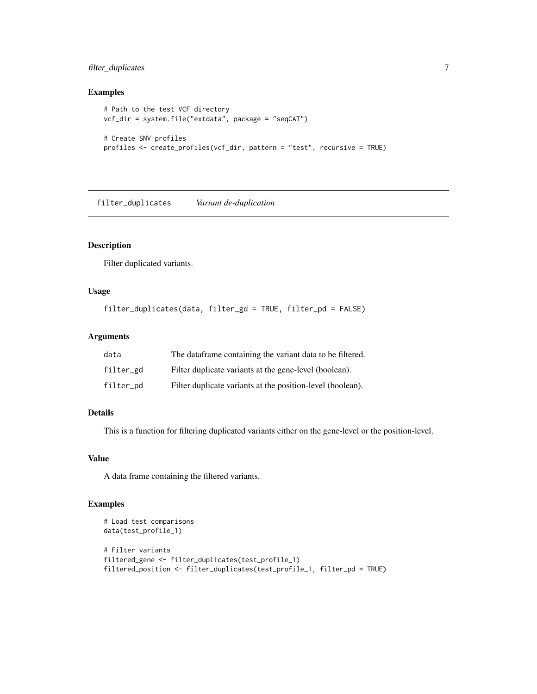#### <span id="page-6-0"></span>filter\_duplicates 7

#### Examples

```
# Path to the test VCF directory
vcf_dir = system.file("extdata", package = "seqCAT")
# Create SNV profiles
profiles <- create_profiles(vcf_dir, pattern = "test", recursive = TRUE)
```
filter\_duplicates *Variant de-duplication*

#### Description

Filter duplicated variants.

#### Usage

```
filter_duplicates(data, filter_gd = TRUE, filter_pd = FALSE)
```
#### Arguments

| data      | The dataframe containing the variant data to be filtered.  |
|-----------|------------------------------------------------------------|
| filter_gd | Filter duplicate variants at the gene-level (boolean).     |
| filter_pd | Filter duplicate variants at the position-level (boolean). |

#### Details

This is a function for filtering duplicated variants either on the gene-level or the position-level.

#### Value

A data frame containing the filtered variants.

```
# Load test comparisons
data(test_profile_1)
# Filter variants
filtered_gene <- filter_duplicates(test_profile_1)
filtered_position <- filter_duplicates(test_profile_1, filter_pd = TRUE)
```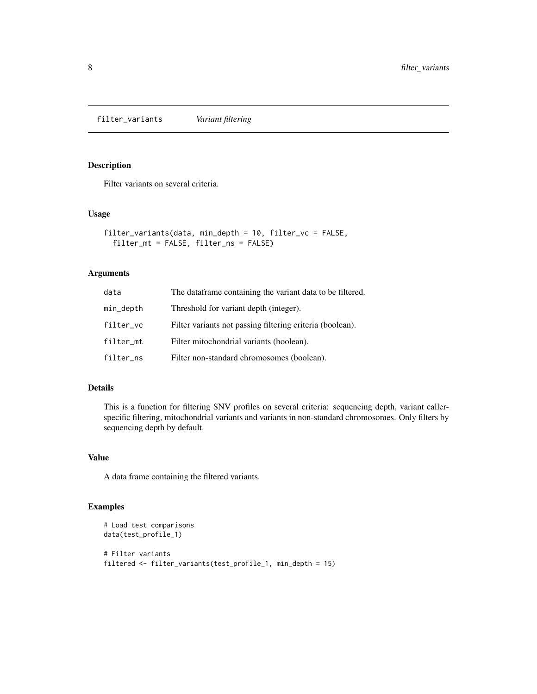<span id="page-7-0"></span>filter\_variants *Variant filtering*

#### Description

Filter variants on several criteria.

#### Usage

```
filter_variants(data, min_depth = 10, filter_vc = FALSE,
  filter_mt = FALSE, filter_ns = FALSE)
```
#### Arguments

| data      | The dataframe containing the variant data to be filtered. |
|-----------|-----------------------------------------------------------|
| min_depth | Threshold for variant depth (integer).                    |
| filter_vc | Filter variants not passing filtering criteria (boolean). |
| filter_mt | Filter mitochondrial variants (boolean).                  |
| filter_ns | Filter non-standard chromosomes (boolean).                |

#### Details

This is a function for filtering SNV profiles on several criteria: sequencing depth, variant callerspecific filtering, mitochondrial variants and variants in non-standard chromosomes. Only filters by sequencing depth by default.

#### Value

A data frame containing the filtered variants.

```
# Load test comparisons
data(test_profile_1)
# Filter variants
filtered <- filter_variants(test_profile_1, min_depth = 15)
```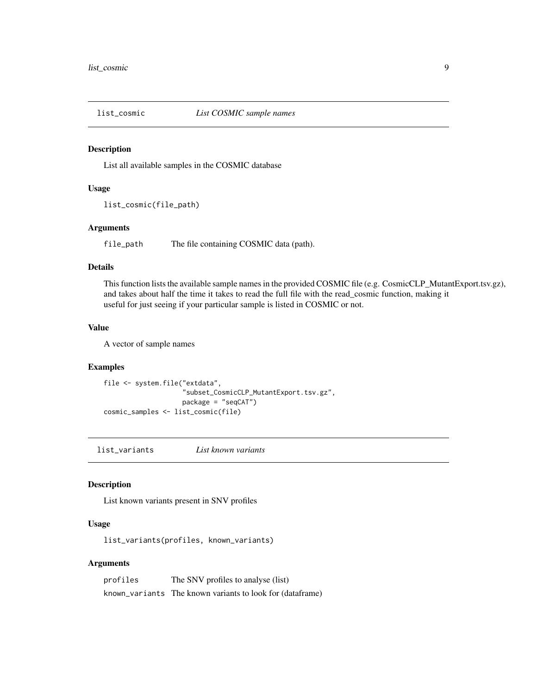<span id="page-8-0"></span>

#### Description

List all available samples in the COSMIC database

#### Usage

list\_cosmic(file\_path)

#### Arguments

file\_path The file containing COSMIC data (path).

#### Details

This function lists the available sample names in the provided COSMIC file (e.g. CosmicCLP\_MutantExport.tsv.gz), and takes about half the time it takes to read the full file with the read\_cosmic function, making it useful for just seeing if your particular sample is listed in COSMIC or not.

#### Value

A vector of sample names

#### Examples

```
file <- system.file("extdata",
                    "subset_CosmicCLP_MutantExport.tsv.gz",
                    package = "seqCAT")
cosmic_samples <- list_cosmic(file)
```
list\_variants *List known variants*

#### Description

List known variants present in SNV profiles

#### Usage

list\_variants(profiles, known\_variants)

#### Arguments

| profiles | The SNV profiles to analyse (list)                        |
|----------|-----------------------------------------------------------|
|          | known_variants The known variants to look for (dataframe) |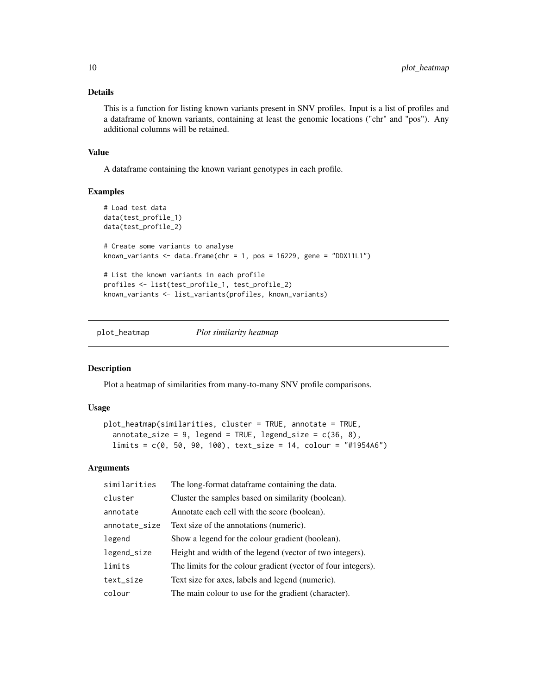#### <span id="page-9-0"></span>Details

This is a function for listing known variants present in SNV profiles. Input is a list of profiles and a dataframe of known variants, containing at least the genomic locations ("chr" and "pos"). Any additional columns will be retained.

#### Value

A dataframe containing the known variant genotypes in each profile.

#### Examples

```
# Load test data
data(test_profile_1)
data(test_profile_2)
# Create some variants to analyse
known_variants \leq data.frame(chr = 1, pos = 16229, gene = "DDX11L1")
# List the known variants in each profile
profiles <- list(test_profile_1, test_profile_2)
known_variants <- list_variants(profiles, known_variants)
```
plot\_heatmap *Plot similarity heatmap*

#### Description

Plot a heatmap of similarities from many-to-many SNV profile comparisons.

#### Usage

```
plot_heatmap(similarities, cluster = TRUE, annotate = TRUE,
  annotate_size = 9, legend = TRUE, legend_size = c(36, 8),
 limits = c(0, 50, 90, 100), text_size = 14, colour = "#1954A6")
```
#### Arguments

| similarities  | The long-format dataframe containing the data.                |
|---------------|---------------------------------------------------------------|
| cluster       | Cluster the samples based on similarity (boolean).            |
| annotate      | Annotate each cell with the score (boolean).                  |
| annotate_size | Text size of the annotations (numeric).                       |
| legend        | Show a legend for the colour gradient (boolean).              |
| legend_size   | Height and width of the legend (vector of two integers).      |
| limits        | The limits for the colour gradient (vector of four integers). |
| text_size     | Text size for axes, labels and legend (numeric).              |
| colour        | The main colour to use for the gradient (character).          |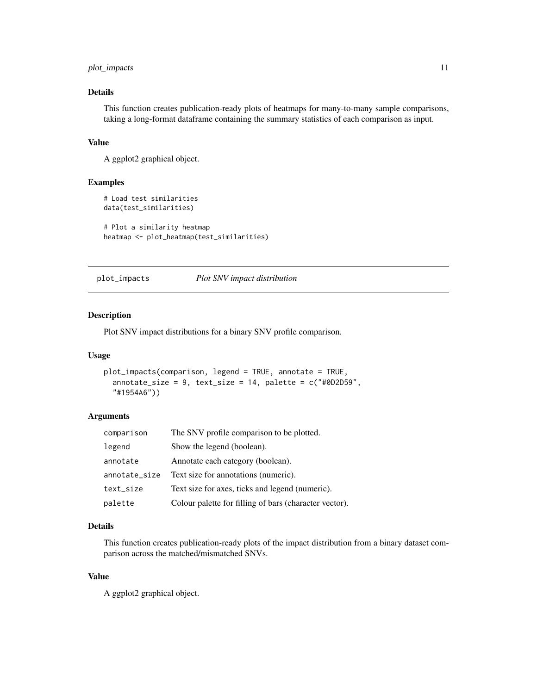#### <span id="page-10-0"></span>plot\_impacts 11

#### Details

This function creates publication-ready plots of heatmaps for many-to-many sample comparisons, taking a long-format dataframe containing the summary statistics of each comparison as input.

#### Value

A ggplot2 graphical object.

#### Examples

```
# Load test similarities
data(test_similarities)
# Plot a similarity heatmap
heatmap <- plot_heatmap(test_similarities)
```
plot\_impacts *Plot SNV impact distribution*

#### Description

Plot SNV impact distributions for a binary SNV profile comparison.

#### Usage

```
plot_impacts(comparison, legend = TRUE, annotate = TRUE,
  annotate_size = 9, text_size = 14, palette = c("#@D2D59","#1954A6"))
```
#### Arguments

| comparison    | The SNV profile comparison to be plotted.              |
|---------------|--------------------------------------------------------|
| legend        | Show the legend (boolean).                             |
| annotate      | Annotate each category (boolean).                      |
| annotate_size | Text size for annotations (numeric).                   |
| text_size     | Text size for axes, ticks and legend (numeric).        |
| palette       | Colour palette for filling of bars (character vector). |

#### Details

This function creates publication-ready plots of the impact distribution from a binary dataset comparison across the matched/mismatched SNVs.

#### Value

A ggplot2 graphical object.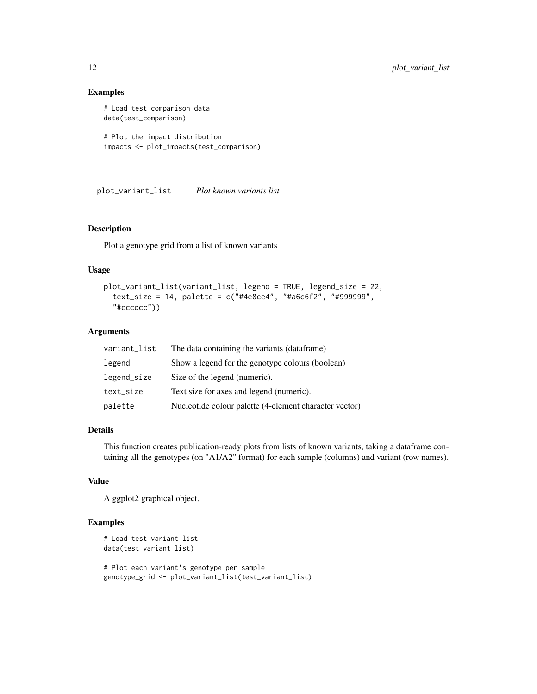#### Examples

```
# Load test comparison data
data(test_comparison)
# Plot the impact distribution
impacts <- plot_impacts(test_comparison)
```
plot\_variant\_list *Plot known variants list*

#### Description

Plot a genotype grid from a list of known variants

#### Usage

```
plot_variant_list(variant_list, legend = TRUE, legend_size = 22,
  text_size = 14, palette = c("#4e8ce4", "#a6c6f2", "#999999",
  "#cccccc"))
```
#### Arguments

| variant_list | The data containing the variants (dataframe)           |
|--------------|--------------------------------------------------------|
| legend       | Show a legend for the genotype colours (boolean)       |
| legend_size  | Size of the legend (numeric).                          |
| text_size    | Text size for axes and legend (numeric).               |
| palette      | Nucleotide colour palette (4-element character vector) |

#### Details

This function creates publication-ready plots from lists of known variants, taking a dataframe containing all the genotypes (on "A1/A2" format) for each sample (columns) and variant (row names).

#### Value

A ggplot2 graphical object.

```
# Load test variant list
data(test_variant_list)
# Plot each variant's genotype per sample
genotype_grid <- plot_variant_list(test_variant_list)
```
<span id="page-11-0"></span>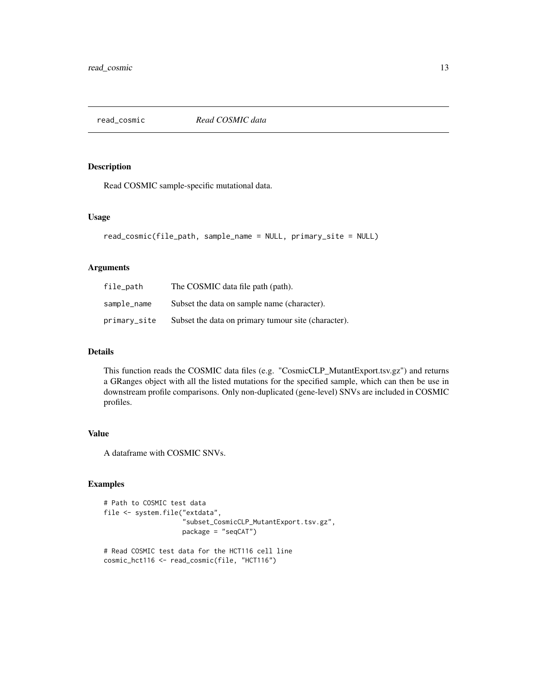<span id="page-12-0"></span>read\_cosmic *Read COSMIC data*

#### Description

Read COSMIC sample-specific mutational data.

#### Usage

```
read_cosmic(file_path, sample_name = NULL, primary_site = NULL)
```
#### Arguments

| file_path    | The COSMIC data file path (path).                   |
|--------------|-----------------------------------------------------|
| sample_name  | Subset the data on sample name (character).         |
| primary_site | Subset the data on primary tumour site (character). |

#### Details

This function reads the COSMIC data files (e.g. "CosmicCLP\_MutantExport.tsv.gz") and returns a GRanges object with all the listed mutations for the specified sample, which can then be use in downstream profile comparisons. Only non-duplicated (gene-level) SNVs are included in COSMIC profiles.

#### Value

A dataframe with COSMIC SNVs.

```
# Path to COSMIC test data
file <- system.file("extdata",
                    "subset_CosmicCLP_MutantExport.tsv.gz",
                    package = "seqCAT")
# Read COSMIC test data for the HCT116 cell line
```

```
cosmic_hct116 <- read_cosmic(file, "HCT116")
```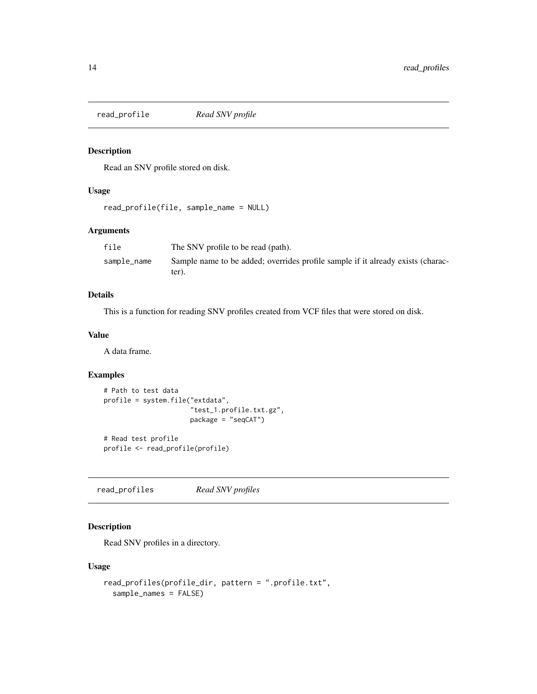<span id="page-13-0"></span>

#### Description

Read an SNV profile stored on disk.

#### Usage

```
read_profile(file, sample_name = NULL)
```
#### Arguments

| file        | The SNV profile to be read (path).                                                       |
|-------------|------------------------------------------------------------------------------------------|
| sample_name | Sample name to be added; overrides profile sample if it already exists (charac-<br>ter). |

#### Details

This is a function for reading SNV profiles created from VCF files that were stored on disk.

#### Value

A data frame.

#### Examples

```
# Path to test data
profile = system.file("extdata",
                      "test_1.profile.txt.gz",
                      package = "seqCAT")
# Read test profile
profile <- read_profile(profile)
```
read\_profiles *Read SNV profiles*

#### Description

Read SNV profiles in a directory.

#### Usage

```
read_profiles(profile_dir, pattern = ".profile.txt",
 sample_names = FALSE)
```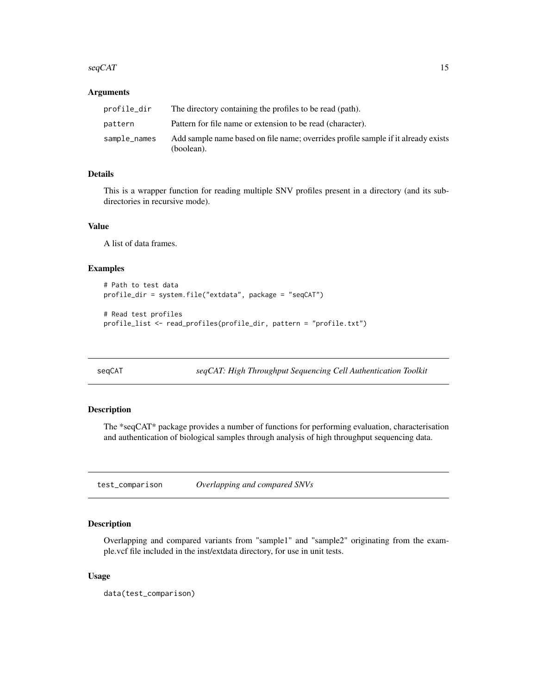#### <span id="page-14-0"></span> $\sec{GAT}$  15

#### Arguments

| profile_dir  | The directory containing the profiles to be read (path).                                        |
|--------------|-------------------------------------------------------------------------------------------------|
| pattern      | Pattern for file name or extension to be read (character).                                      |
| sample_names | Add sample name based on file name; overrides profile sample if it already exists<br>(boolean). |

#### Details

This is a wrapper function for reading multiple SNV profiles present in a directory (and its subdirectories in recursive mode).

#### Value

A list of data frames.

#### Examples

```
# Path to test data
profile_dir = system.file("extdata", package = "seqCAT")
# Read test profiles
profile_list <- read_profiles(profile_dir, pattern = "profile.txt")
```
seqCAT *seqCAT: High Throughput Sequencing Cell Authentication Toolkit*

#### Description

The \*seqCAT\* package provides a number of functions for performing evaluation, characterisation and authentication of biological samples through analysis of high throughput sequencing data.

test\_comparison *Overlapping and compared SNVs*

#### Description

Overlapping and compared variants from "sample1" and "sample2" originating from the example.vcf file included in the inst/extdata directory, for use in unit tests.

#### Usage

data(test\_comparison)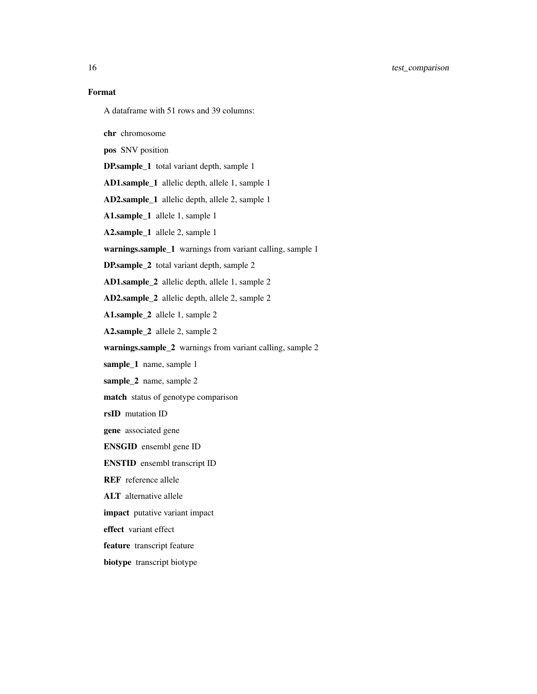A dataframe with 51 rows and 39 columns:

chr chromosome

pos SNV position

DP.sample\_1 total variant depth, sample 1

AD1.sample\_1 allelic depth, allele 1, sample 1

AD2.sample\_1 allelic depth, allele 2, sample 1

A1.sample\_1 allele 1, sample 1

A2.sample\_1 allele 2, sample 1

warnings.sample\_1 warnings from variant calling, sample 1

DP.sample\_2 total variant depth, sample 2

AD1.sample\_2 allelic depth, allele 1, sample 2

AD2.sample\_2 allelic depth, allele 2, sample 2

A1.sample\_2 allele 1, sample 2

A2.sample\_2 allele 2, sample 2

warnings.sample\_2 warnings from variant calling, sample 2

sample\_1 name, sample 1

sample\_2 name, sample 2

match status of genotype comparison

rsID mutation ID

gene associated gene

ENSGID ensembl gene ID

ENSTID ensembl transcript ID

REF reference allele

ALT alternative allele

impact putative variant impact

effect variant effect

feature transcript feature

biotype transcript biotype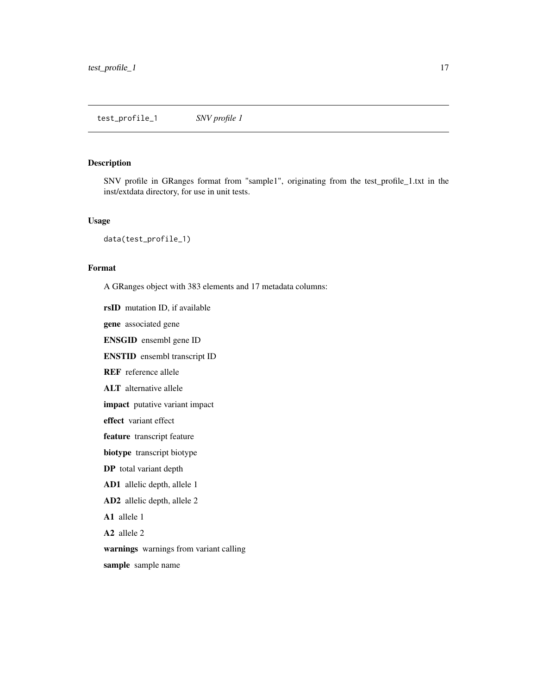<span id="page-16-0"></span>test\_profile\_1 *SNV profile 1*

#### Description

SNV profile in GRanges format from "sample1", originating from the test\_profile\_1.txt in the inst/extdata directory, for use in unit tests.

#### Usage

data(test\_profile\_1)

#### Format

A GRanges object with 383 elements and 17 metadata columns:

rsID mutation ID, if available

gene associated gene

ENSGID ensembl gene ID

ENSTID ensembl transcript ID

REF reference allele

ALT alternative allele

impact putative variant impact

effect variant effect

feature transcript feature

biotype transcript biotype

DP total variant depth

AD1 allelic depth, allele 1

AD2 allelic depth, allele 2

A1 allele 1

A2 allele 2

warnings warnings from variant calling

sample sample name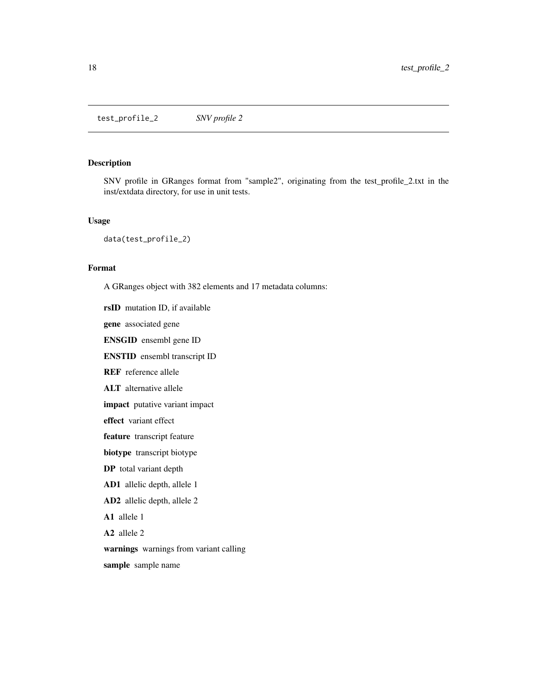<span id="page-17-0"></span>test\_profile\_2 *SNV profile 2*

#### Description

SNV profile in GRanges format from "sample2", originating from the test\_profile\_2.txt in the inst/extdata directory, for use in unit tests.

#### Usage

data(test\_profile\_2)

#### Format

A GRanges object with 382 elements and 17 metadata columns:

rsID mutation ID, if available

gene associated gene

ENSGID ensembl gene ID

ENSTID ensembl transcript ID

REF reference allele

ALT alternative allele

impact putative variant impact

effect variant effect

feature transcript feature

biotype transcript biotype

DP total variant depth

AD1 allelic depth, allele 1

AD2 allelic depth, allele 2

A1 allele 1

A2 allele 2

warnings warnings from variant calling

sample sample name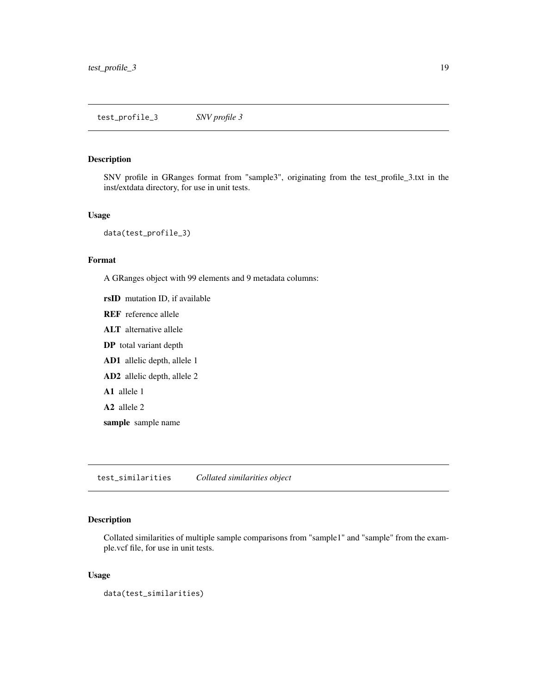#### <span id="page-18-0"></span>Description

SNV profile in GRanges format from "sample3", originating from the test\_profile\_3.txt in the inst/extdata directory, for use in unit tests.

#### Usage

data(test\_profile\_3)

#### Format

A GRanges object with 99 elements and 9 metadata columns:

rsID mutation ID, if available REF reference allele ALT alternative allele DP total variant depth AD1 allelic depth, allele 1 AD2 allelic depth, allele 2 A1 allele 1 A2 allele 2 sample sample name

test\_similarities *Collated similarities object*

#### Description

Collated similarities of multiple sample comparisons from "sample1" and "sample" from the example.vcf file, for use in unit tests.

#### Usage

data(test\_similarities)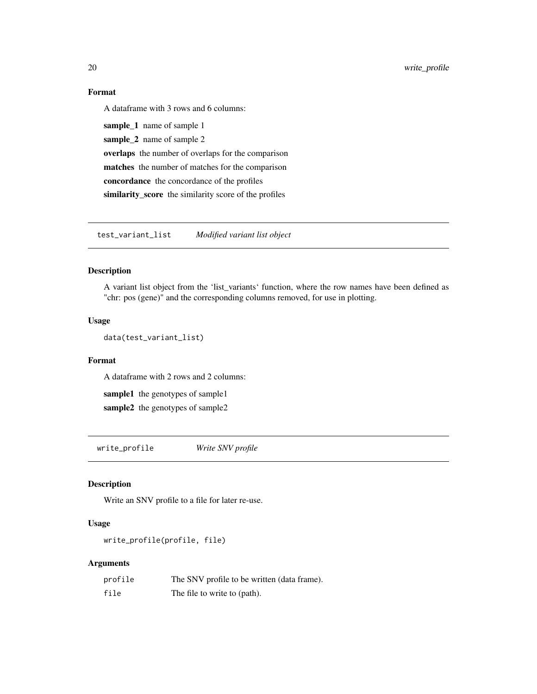<span id="page-19-0"></span>20 write\_profile

#### Format

A dataframe with 3 rows and 6 columns:

sample\_1 name of sample 1 sample\_2 name of sample 2 overlaps the number of overlaps for the comparison matches the number of matches for the comparison concordance the concordance of the profiles similarity\_score the similarity score of the profiles

test\_variant\_list *Modified variant list object*

#### Description

A variant list object from the 'list\_variants' function, where the row names have been defined as "chr: pos (gene)" and the corresponding columns removed, for use in plotting.

#### Usage

data(test\_variant\_list)

#### Format

A dataframe with 2 rows and 2 columns:

sample1 the genotypes of sample1 sample2 the genotypes of sample2

write\_profile *Write SNV profile*

#### Description

Write an SNV profile to a file for later re-use.

#### Usage

write\_profile(profile, file)

#### Arguments

| profile | The SNV profile to be written (data frame). |
|---------|---------------------------------------------|
| file    | The file to write to (path).                |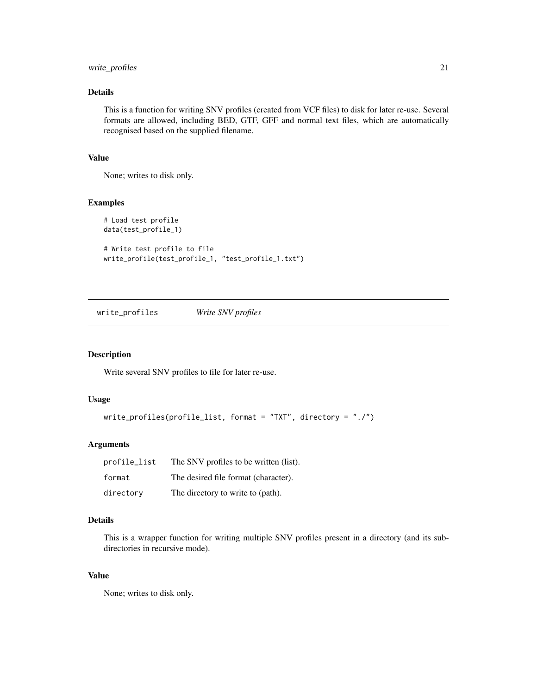#### <span id="page-20-0"></span>write\_profiles 21

#### Details

This is a function for writing SNV profiles (created from VCF files) to disk for later re-use. Several formats are allowed, including BED, GTF, GFF and normal text files, which are automatically recognised based on the supplied filename.

#### Value

None; writes to disk only.

#### Examples

```
# Load test profile
data(test_profile_1)
# Write test profile to file
write_profile(test_profile_1, "test_profile_1.txt")
```
write\_profiles *Write SNV profiles*

#### Description

Write several SNV profiles to file for later re-use.

#### Usage

```
write_profiles(profile_list, format = "TXT", directory = "./")
```
#### Arguments

| profile_list | The SNV profiles to be written (list). |
|--------------|----------------------------------------|
| format       | The desired file format (character).   |
| directory    | The directory to write to (path).      |

#### Details

This is a wrapper function for writing multiple SNV profiles present in a directory (and its subdirectories in recursive mode).

#### Value

None; writes to disk only.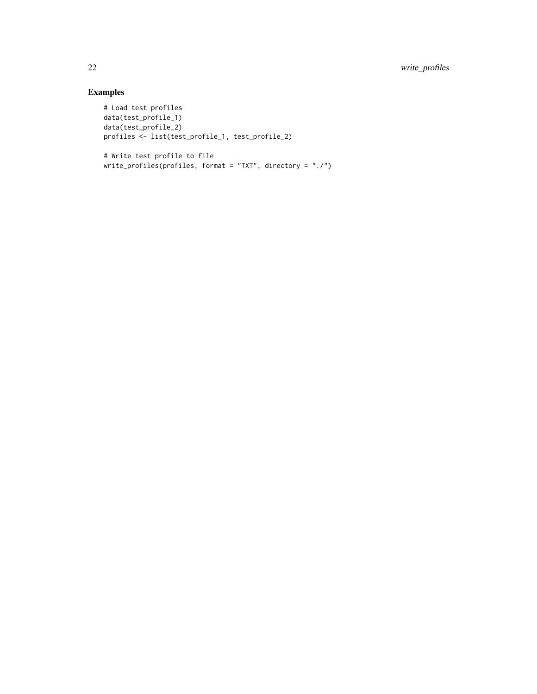```
# Load test profiles
data(test_profile_1)
data(test_profile_2)
profiles <- list(test_profile_1, test_profile_2)
```

```
# Write test profile to file
write_profiles(profiles, format = "TXT", directory = "./")
```